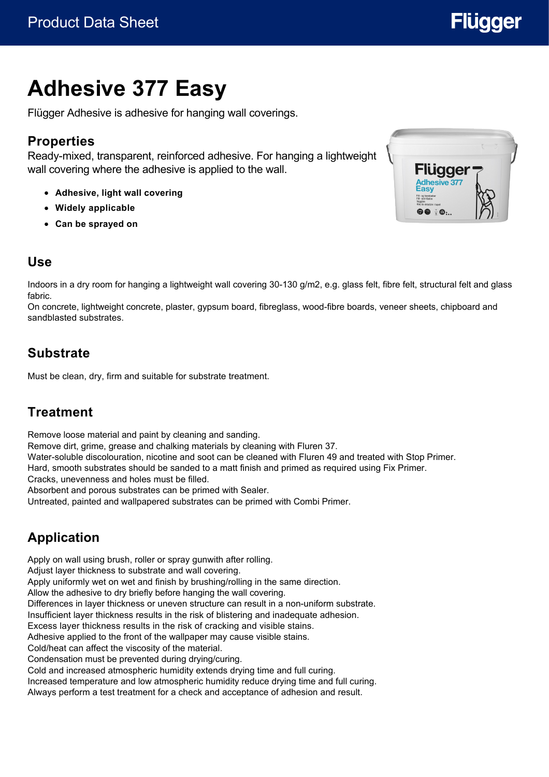

# **Adhesive 377 Easy**

Flügger Adhesive is adhesive for hanging wall coverings.

# **Properties**

Ready-mixed, transparent, reinforced adhesive. For hanging a lightweight wall covering where the adhesive is applied to the wall.

- **Adhesive, light wall covering**
- **Widely applicable**
- **Can be sprayed on**



#### **Use**

Indoors in a dry room for hanging a lightweight wall covering 30-130 g/m2, e.g. glass felt, fibre felt, structural felt and glass fabric.

On concrete, lightweight concrete, plaster, gypsum board, fibreglass, wood-fibre boards, veneer sheets, chipboard and sandblasted substrates.

#### **Substrate**

Must be clean, dry, firm and suitable for substrate treatment.

#### **Treatment**

Remove loose material and paint by cleaning and sanding.

Remove dirt, grime, grease and chalking materials by cleaning with Fluren 37.

Water-soluble discolouration, nicotine and soot can be cleaned with Fluren 49 and treated with Stop Primer.

Hard, smooth substrates should be sanded to a matt finish and primed as required using Fix Primer.

Cracks, unevenness and holes must be filled.

Absorbent and porous substrates can be primed with Sealer.

Untreated, painted and wallpapered substrates can be primed with Combi Primer.

# **Application**

Apply on wall using brush, roller or spray gunwith after rolling.

Adjust layer thickness to substrate and wall covering.

Apply uniformly wet on wet and finish by brushing/rolling in the same direction.

Allow the adhesive to dry briefly before hanging the wall covering.

Differences in layer thickness or uneven structure can result in a non-uniform substrate.

Insufficient layer thickness results in the risk of blistering and inadequate adhesion.

Excess layer thickness results in the risk of cracking and visible stains.

Adhesive applied to the front of the wallpaper may cause visible stains.

Cold/heat can affect the viscosity of the material.

Condensation must be prevented during drying/curing.

Cold and increased atmospheric humidity extends drying time and full curing.

Increased temperature and low atmospheric humidity reduce drying time and full curing. Always perform a test treatment for a check and acceptance of adhesion and result.